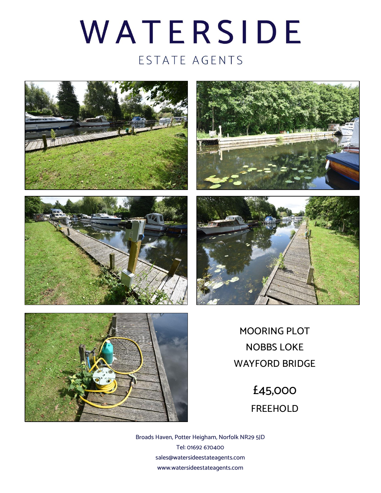## WATERSIDE ESTATE AGENTS











MOORING PLOT NOBBS LOKE WAYFORD BRIDGE

> £45,000 FREEHOLD

Broads Haven, Potter Heigham, Norfolk NR29 5JD Tel: 01692 670400 sales@watersideestateagents.com www.watersideestateagents.com